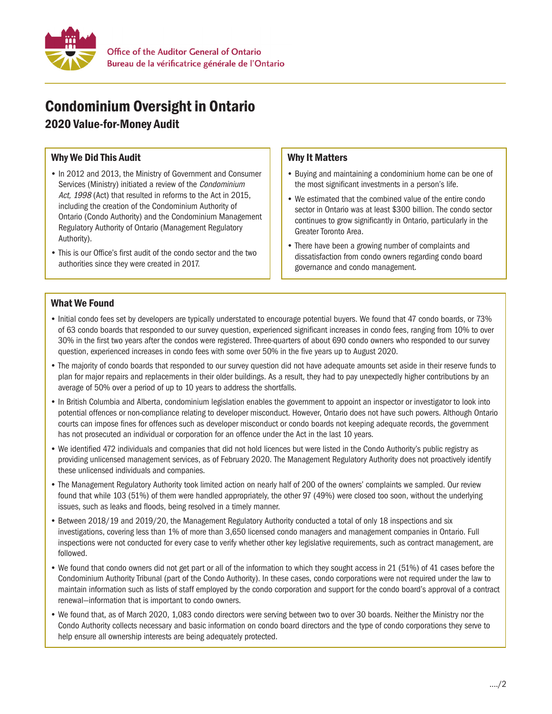

# Condominium Oversight in Ontario

2020 Value-for-Money Audit

## Why We Did This Audit

- In 2012 and 2013, the Ministry of Government and Consumer Services (Ministry) initiated a review of the Condominium Act, 1998 (Act) that resulted in reforms to the Act in 2015. including the creation of the Condominium Authority of Ontario (Condo Authority) and the Condominium Management Regulatory Authority of Ontario (Management Regulatory Authority).
- This is our Office's first audit of the condo sector and the two authorities since they were created in 2017.

## Why It Matters

- Buying and maintaining a condominium home can be one of the most significant investments in a person's life.
- We estimated that the combined value of the entire condo sector in Ontario was at least \$300 billion. The condo sector continues to grow significantly in Ontario, particularly in the Greater Toronto Area.
- There have been a growing number of complaints and dissatisfaction from condo owners regarding condo board governance and condo management.

#### What We Found

- Initial condo fees set by developers are typically understated to encourage potential buyers. We found that 47 condo boards, or 73% of 63 condo boards that responded to our survey question, experienced significant increases in condo fees, ranging from 10% to over 30% in the first two years after the condos were registered. Three-quarters of about 690 condo owners who responded to our survey question, experienced increases in condo fees with some over 50% in the five years up to August 2020.
- The majority of condo boards that responded to our survey question did not have adequate amounts set aside in their reserve funds to plan for major repairs and replacements in their older buildings. As a result, they had to pay unexpectedly higher contributions by an average of 50% over a period of up to 10 years to address the shortfalls.
- In British Columbia and Alberta, condominium legislation enables the government to appoint an inspector or investigator to look into potential offences or non-compliance relating to developer misconduct. However, Ontario does not have such powers. Although Ontario courts can impose fines for offences such as developer misconduct or condo boards not keeping adequate records, the government has not prosecuted an individual or corporation for an offence under the Act in the last 10 years.
- We identified 472 individuals and companies that did not hold licences but were listed in the Condo Authority's public registry as providing unlicensed management services, as of February 2020. The Management Regulatory Authority does not proactively identify these unlicensed individuals and companies.
- The Management Regulatory Authority took limited action on nearly half of 200 of the owners' complaints we sampled. Our review found that while 103 (51%) of them were handled appropriately, the other 97 (49%) were closed too soon, without the underlying issues, such as leaks and floods, being resolved in a timely manner.
- Between 2018/19 and 2019/20, the Management Regulatory Authority conducted a total of only 18 inspections and six investigations, covering less than 1% of more than 3,650 licensed condo managers and management companies in Ontario. Full inspections were not conducted for every case to verify whether other key legislative requirements, such as contract management, are followed.
- We found that condo owners did not get part or all of the information to which they sought access in 21 (51%) of 41 cases before the Condominium Authority Tribunal (part of the Condo Authority). In these cases, condo corporations were not required under the law to maintain information such as lists of staff employed by the condo corporation and support for the condo board's approval of a contract renewal—information that is important to condo owners.
- We found that, as of March 2020, 1,083 condo directors were serving between two to over 30 boards. Neither the Ministry nor the Condo Authority collects necessary and basic information on condo board directors and the type of condo corporations they serve to help ensure all ownership interests are being adequately protected.